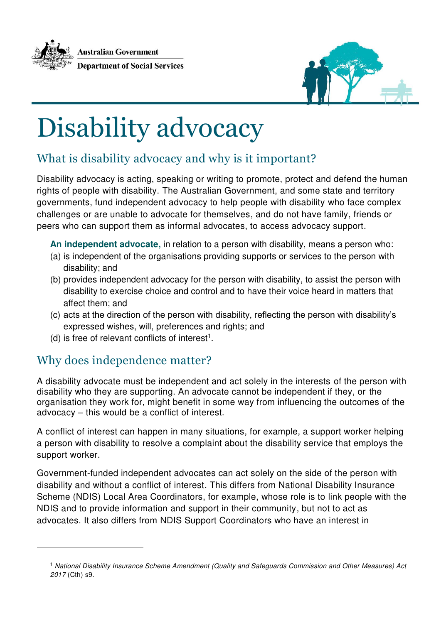



# Disability advocacy

# What is disability advocacy and why is it important?

Disability advocacy is acting, speaking or writing to promote, protect and defend the human rights of people with disability. The Australian Government, and some state and territory governments, fund independent advocacy to help people with disability who face complex challenges or are unable to advocate for themselves, and do not have family, friends or peers who can support them as informal advocates, to access advocacy support.

**An independent advocate,** in relation to a person with disability, means a person who:

- (a) is independent of the organisations providing supports or services to the person with disability; and
- (b) provides independent advocacy for the person with disability, to assist the person with disability to exercise choice and control and to have their voice heard in matters that affect them; and
- (c) acts at the direction of the person with disability, reflecting the person with disability's expressed wishes, will, preferences and rights; and
- (d) is free of relevant conflicts of interest<sup>1</sup>.

#### Why does independence matter?

 $\overline{a}$ 

A disability advocate must be independent and act solely in the interests of the person with disability who they are supporting. An advocate cannot be independent if they, or the organisation they work for, might benefit in some way from influencing the outcomes of the advocacy – this would be a conflict of interest.

A conflict of interest can happen in many situations, for example, a support worker helping a person with disability to resolve a complaint about the disability service that employs the support worker.

Government-funded independent advocates can act solely on the side of the person with disability and without a conflict of interest. This differs from National Disability Insurance Scheme (NDIS) Local Area Coordinators, for example, whose role is to link people with the NDIS and to provide information and support in their community, but not to act as advocates. It also differs from NDIS Support Coordinators who have an interest in

<sup>1</sup> National Disability Insurance Scheme Amendment (Quality and Safeguards Commission and Other Measures) Act 2017 (Cth) s9.